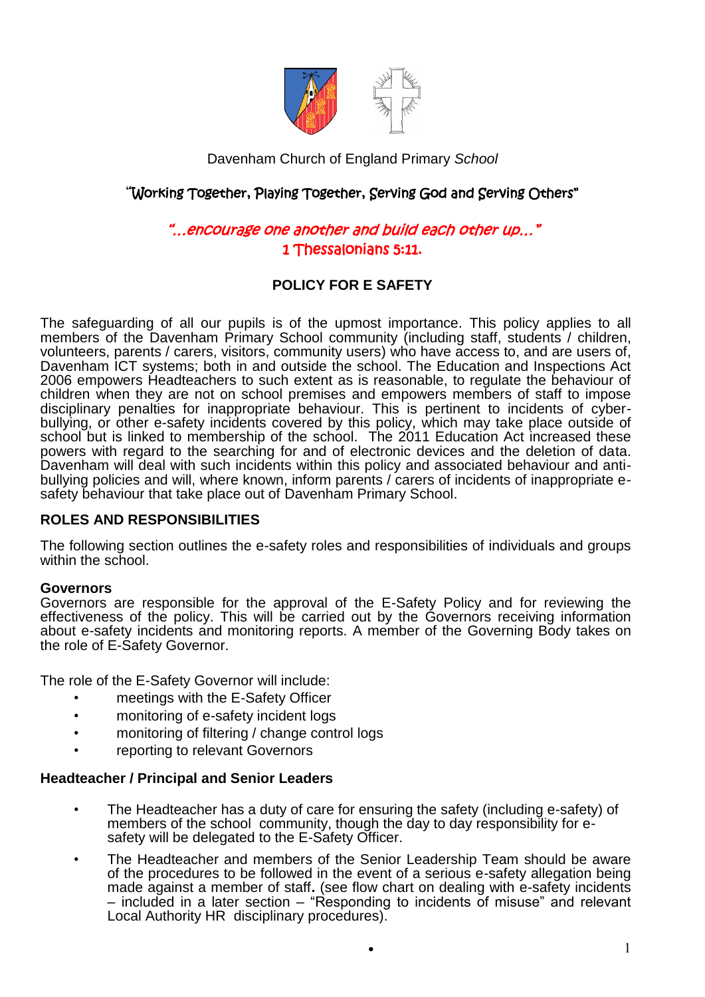

Davenham Church of England Primary *School* 

# "Working Together, Playing Together, Serving God and Serving Others"

# "…encourage one another and build each other up…" 1 Thessalonians 5:11.

# **POLICY FOR E SAFETY**

The safeguarding of all our pupils is of the upmost importance. This policy applies to all members of the Davenham Primary School community (including staff, students / children, volunteers, parents / carers, visitors, community users) who have access to, and are users of, Davenham ICT systems; both in and outside the school. The Education and Inspections Act 2006 empowers Headteachers to such extent as is reasonable, to regulate the behaviour of children when they are not on school premises and empowers members of staff to impose disciplinary penalties for inappropriate behaviour. This is pertinent to incidents of cyberbullying, or other e-safety incidents covered by this policy, which may take place outside of school but is linked to membership of the school. The 2011 Education Act increased these powers with regard to the searching for and of electronic devices and the deletion of data. Davenham will deal with such incidents within this policy and associated behaviour and antibullying policies and will, where known, inform parents / carers of incidents of inappropriate esafety behaviour that take place out of Davenham Primary School.

### **ROLES AND RESPONSIBILITIES**

The following section outlines the e-safety roles and responsibilities of individuals and groups within the school.

### **Governors**

Governors are responsible for the approval of the E-Safety Policy and for reviewing the effectiveness of the policy. This will be carried out by the Governors receiving information about e-safety incidents and monitoring reports. A member of the Governing Body takes on the role of E-Safety Governor.

The role of the E-Safety Governor will include:

- *•* meetings with the E-Safety Officer
- monitoring of e-safety incident logs
- monitoring of filtering / change control logs
- reporting to relevant Governors

### **Headteacher / Principal and Senior Leaders**

- The Headteacher has a duty of care for ensuring the safety (including e-safety) of members of the school community, though the day to day responsibility for esafety will be delegated to the E-Safety Officer.
- The Headteacher and members of the Senior Leadership Team should be aware of the procedures to be followed in the event of a serious e-safety allegation being made against a member of staff. (see flow chart on dealing with e-safety incidents – included in a later section – "Responding to incidents of misuse" and relevant Local Authority HR disciplinary procedures).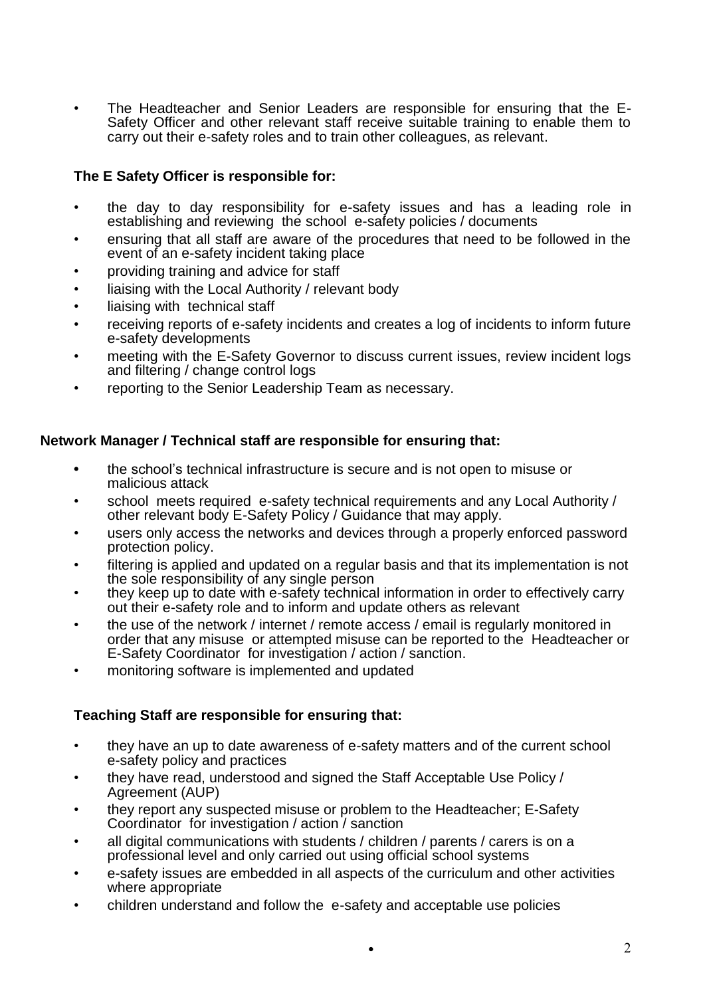*•* The Headteacher and Senior Leaders are responsible for ensuring that the E-Safety Officer and other relevant staff receive suitable training to enable them to carry out their e-safety roles and to train other colleagues, as relevant.

# **The E Safety Officer is responsible for:**

- the day to day responsibility for e-safety issues and has a leading role in establishing and reviewing the school e-safety policies / documents
- ensuring that all staff are aware of the procedures that need to be followed in the event of an e-safety incident taking place
- providing training and advice for staff
- liaising with the Local Authority / relevant body
- liaising with technical staff
- receiving reports of e-safety incidents and creates a log of incidents to inform future e-safety developments
- meeting with the E-Safety Governor to discuss current issues, review incident logs and filtering / change control logs
- reporting to the Senior Leadership Team as necessary.

## **Network Manager / Technical staff are responsible for ensuring that:**

- **•** the school's technical infrastructure is secure and is not open to misuse or malicious attack
- school meets required e-safety technical requirements and any Local Authority / other relevant body E-Safety Policy / Guidance that may apply.
- users only access the networks and devices through a properly enforced password protection policy.
- *•* filtering is applied and updated on a regular basis and that its implementation is not the sole responsibility of any single person
- they keep up to date with e-safety technical information in order to effectively carry out their e-safety role and to inform and update others as relevant
- the use of the network / internet / remote access / email is regularly monitored in order that any misuse or attempted misuse can be reported to the Headteacher or E-Safety Coordinator for investigation / action / sanction.
- monitoring software is implemented and updated

# **Teaching Staff are responsible for ensuring that:**

- they have an up to date awareness of e-safety matters and of the current school e-safety policy and practices
- they have read, understood and signed the Staff Acceptable Use Policy / Agreement (AUP)
- they report any suspected misuse or problem to the Headteacher; E-Safety Coordinator for investigation / action / sanction
- all digital communications with students / children / parents / carers is on a professional level and only carried out using official school systems
- e-safety issues are embedded in all aspects of the curriculum and other activities where appropriate
- children understand and follow the e-safety and acceptable use policies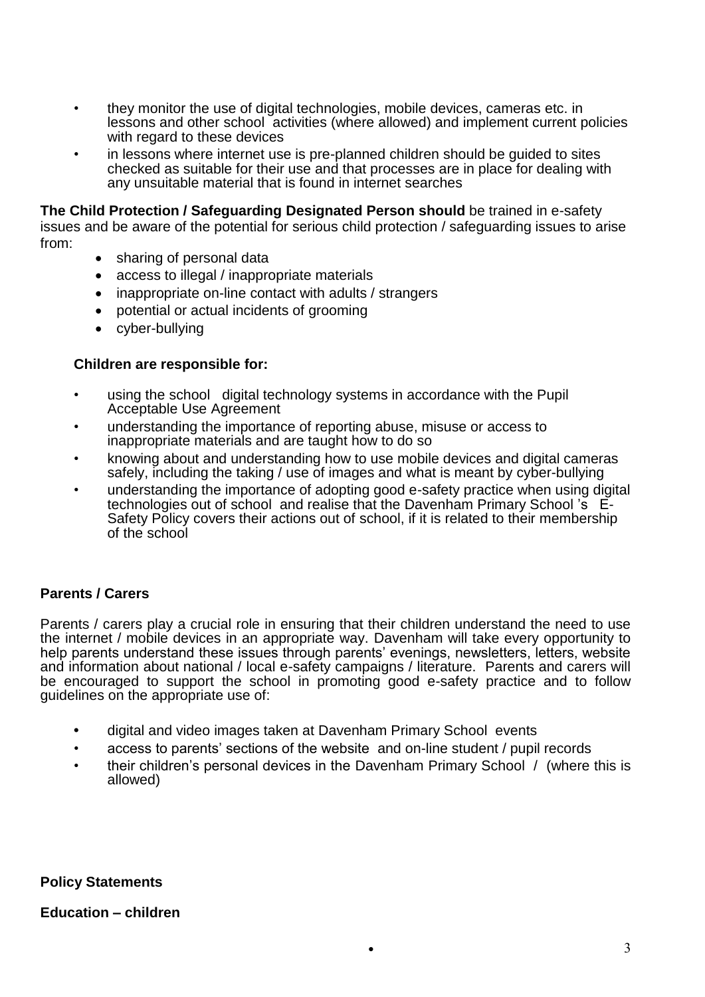- they monitor the use of digital technologies, mobile devices, cameras etc. in lessons and other school activities (where allowed) and implement current policies with regard to these devices
- in lessons where internet use is pre-planned children should be quided to sites checked as suitable for their use and that processes are in place for dealing with any unsuitable material that is found in internet searches

**The Child Protection / Safeguarding Designated Person should** be trained in e-safety issues and be aware of the potential for serious child protection / safeguarding issues to arise from:

- sharing of personal data
- access to illegal / inappropriate materials
- inappropriate on-line contact with adults / strangers
- potential or actual incidents of grooming
- cyber-bullying

#### **Children are responsible for:**

- using the school digital technology systems in accordance with the Pupil Acceptable Use Agreement
- understanding the importance of reporting abuse, misuse or access to inappropriate materials and are taught how to do so
- knowing about and understanding how to use mobile devices and digital cameras safely, including the taking / use of images and what is meant by cyber-bullying
- understanding the importance of adopting good e-safety practice when using digital technologies out of school and realise that the Davenham Primary School 's E-Safety Policy covers their actions out of school, if it is related to their membership of the school

### **Parents / Carers**

Parents / carers play a crucial role in ensuring that their children understand the need to use the internet / mobile devices in an appropriate way. Davenham will take every opportunity to help parents understand these issues through parents' evenings, newsletters, letters, website and information about national / local e-safety campaigns / literature. Parents and carers will be encouraged to support the school in promoting good e-safety practice and to follow guidelines on the appropriate use of:

- **•** digital and video images taken at Davenham Primary School events
- access to parents' sections of the website and on-line student / pupil records
- their children's personal devices in the Davenham Primary School / (where this is allowed)

**Policy Statements**

**Education – children**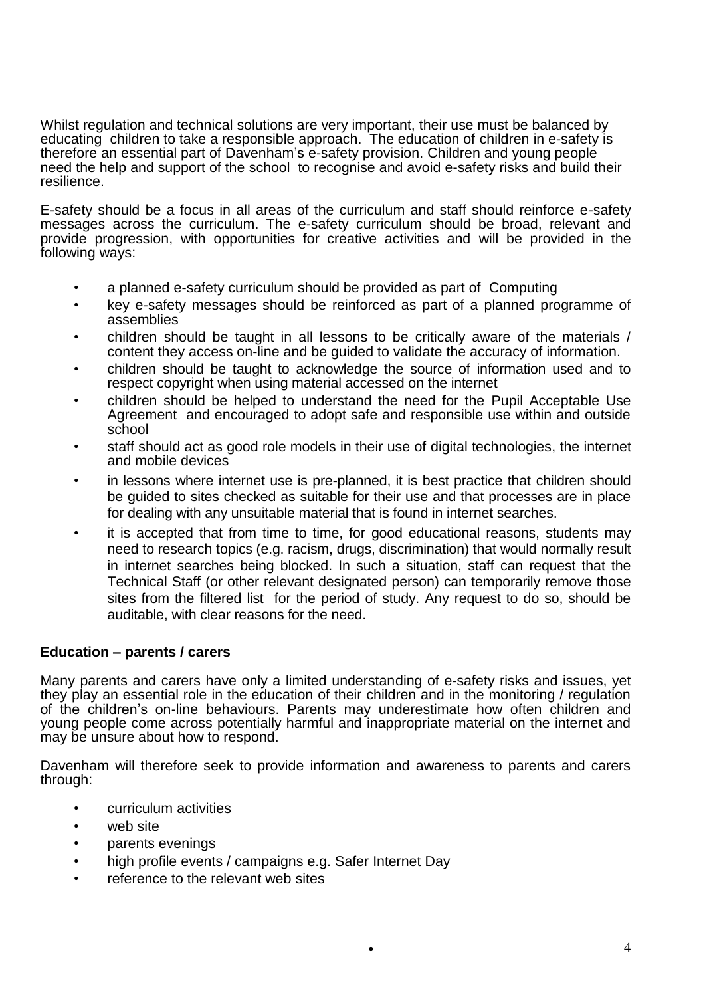Whilst regulation and technical solutions are very important, their use must be balanced by educating children to take a responsible approach. The education of children in e-safety is therefore an essential part of Davenham's e-safety provision. Children and young people need the help and support of the school to recognise and avoid e-safety risks and build their resilience.

E-safety should be a focus in all areas of the curriculum and staff should reinforce e-safety messages across the curriculum. The e-safety curriculum should be broad, relevant and provide progression, with opportunities for creative activities and will be provided in the following ways:

- a planned e-safety curriculum should be provided as part of Computing
- key e-safety messages should be reinforced as part of a planned programme of assemblies
- children should be taught in all lessons to be critically aware of the materials / content they access on-line and be guided to validate the accuracy of information.
- children should be taught to acknowledge the source of information used and to respect copyright when using material accessed on the internet
- children should be helped to understand the need for the Pupil Acceptable Use Agreement and encouraged to adopt safe and responsible use within and outside school
- staff should act as good role models in their use of digital technologies, the internet and mobile devices
- in lessons where internet use is pre-planned, it is best practice that children should be guided to sites checked as suitable for their use and that processes are in place for dealing with any unsuitable material that is found in internet searches.
- it is accepted that from time to time, for good educational reasons, students may need to research topics (e.g. racism, drugs, discrimination) that would normally result in internet searches being blocked. In such a situation, staff can request that the Technical Staff (or other relevant designated person) can temporarily remove those sites from the filtered list for the period of study. Any request to do so, should be auditable, with clear reasons for the need.

# **Education – parents / carers**

Many parents and carers have only a limited understanding of e-safety risks and issues, yet they play an essential role in the education of their children and in the monitoring / regulation of the children's on-line behaviours. Parents may underestimate how often children and young people come across potentially harmful and inappropriate material on the internet and may be unsure about how to respond.

Davenham will therefore seek to provide information and awareness to parents and carers through:

- curriculum activities
- web site
- parents evenings
- high profile events / campaigns e.g. Safer Internet Day
- reference to the relevant web sites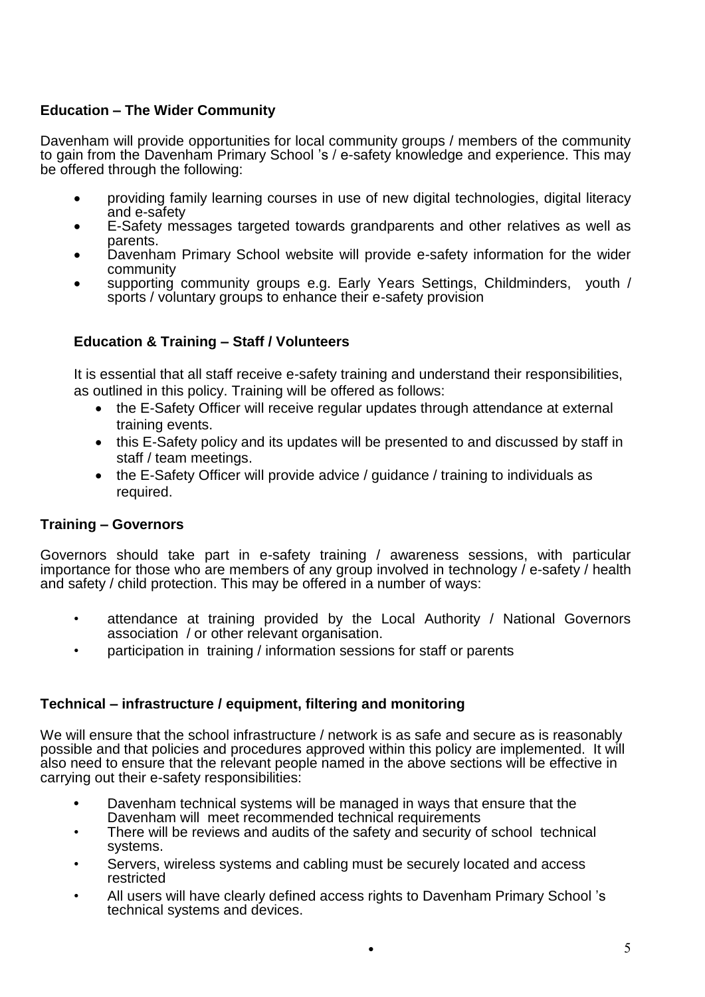# **Education – The Wider Community**

Davenham will provide opportunities for local community groups / members of the community to gain from the Davenham Primary School 's / e-safety knowledge and experience. This may be offered through the following:

- providing family learning courses in use of new digital technologies, digital literacy and e-safety
- E-Safety messages targeted towards grandparents and other relatives as well as parents.
- Davenham Primary School website will provide e-safety information for the wider community
- supporting community groups e.g. Early Years Settings, Childminders, youth / sports / voluntary groups to enhance their e-safety provision

# **Education & Training – Staff / Volunteers**

It is essential that all staff receive e-safety training and understand their responsibilities, as outlined in this policy. Training will be offered as follows:

- the E-Safety Officer will receive regular updates through attendance at external training events.
- this E-Safety policy and its updates will be presented to and discussed by staff in staff / team meetings.
- the E-Safety Officer will provide advice / quidance / training to individuals as required.

# **Training – Governors**

Governors should take part in e-safety training / awareness sessions, with particular importance for those who are members of any group involved in technology / e-safety / health and safety / child protection. This may be offered in a number of ways:

- attendance at training provided by the Local Authority / National Governors association / or other relevant organisation.
- participation in training / information sessions for staff or parents

# **Technical – infrastructure / equipment, filtering and monitoring**

We will ensure that the school infrastructure / network is as safe and secure as is reasonably possible and that policies and procedures approved within this policy are implemented. It will also need to ensure that the relevant people named in the above sections will be effective in carrying out their e-safety responsibilities:

- **•** Davenham technical systems will be managed in ways that ensure that the Davenham will meet recommended technical requirements
- There will be reviews and audits of the safety and security of school technical systems.
- Servers, wireless systems and cabling must be securely located and access restricted
- All users will have clearly defined access rights to Davenham Primary School 's technical systems and devices.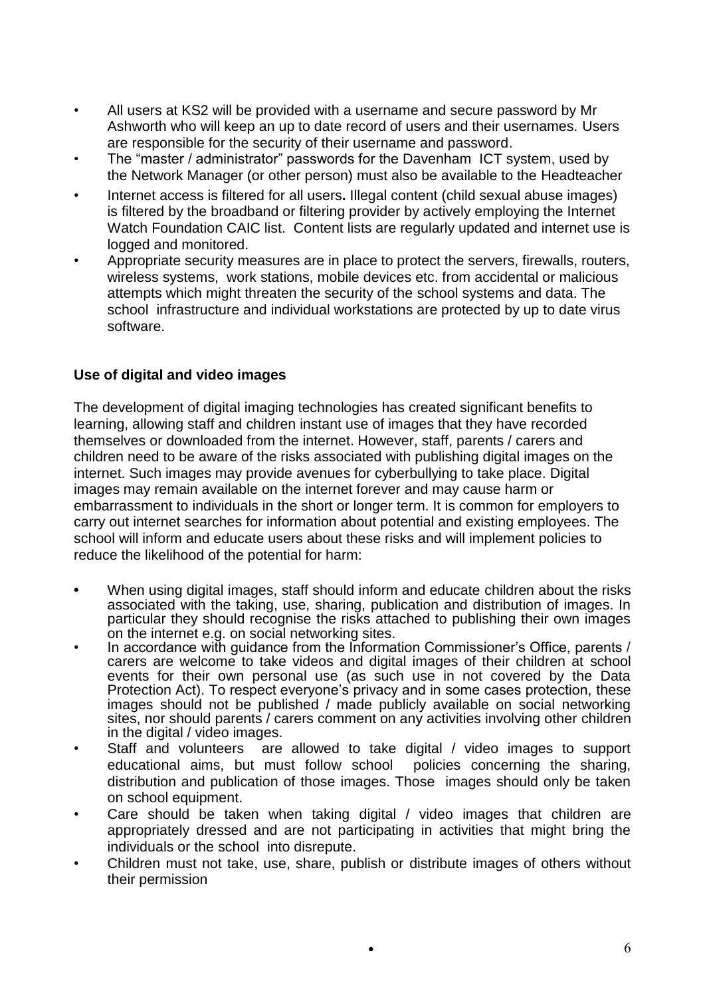- All users at KS2 will be provided with a username and secure password by Mr Ashworth who will keep an up to date record of users and their usernames*.* Users are responsible for the security of their username and password.
- The "master / administrator" passwords for the Davenham ICT system, used by the Network Manager (or other person) must also be available to the Headteacher
- *•* Internet access is filtered for all users**.** Illegal content (child sexual abuse images) is filtered by the broadband or filtering provider by actively employing the Internet Watch Foundation CAIC list. Content lists are regularly updated and internet use is logged and monitored.
- *•* Appropriate security measures are in place to protect the servers, firewalls, routers, wireless systems, work stations, mobile devices etc. from accidental or malicious attempts which might threaten the security of the school systems and data. The school infrastructure and individual workstations are protected by up to date virus software.

# **Use of digital and video images**

The development of digital imaging technologies has created significant benefits to learning, allowing staff and children instant use of images that they have recorded themselves or downloaded from the internet. However, staff, parents / carers and children need to be aware of the risks associated with publishing digital images on the internet. Such images may provide avenues for cyberbullying to take place. Digital images may remain available on the internet forever and may cause harm or embarrassment to individuals in the short or longer term. It is common for employers to carry out internet searches for information about potential and existing employees. The school will inform and educate users about these risks and will implement policies to reduce the likelihood of the potential for harm:

- **•** When using digital images, staff should inform and educate children about the risks associated with the taking, use, sharing, publication and distribution of images. In particular they should recognise the risks attached to publishing their own images on the internet e.g. on social networking sites.
- In accordance with quidance from the Information Commissioner's Office, parents / carers are welcome to take videos and digital images of their children at school events for their own personal use (as such use in not covered by the Data Protection Act). To respect everyone's privacy and in some cases protection, these images should not be published / made publicly available on social networking sites, nor should parents / carers comment on any activities involving other children in the digital / video images.
- Staff and volunteers are allowed to take digital / video images to support educational aims, but must follow school policies concerning the sharing, distribution and publication of those images. Those images should only be taken on school equipment.
- Care should be taken when taking digital / video images that children are appropriately dressed and are not participating in activities that might bring the individuals or the school into disrepute.
- Children must not take, use, share, publish or distribute images of others without their permission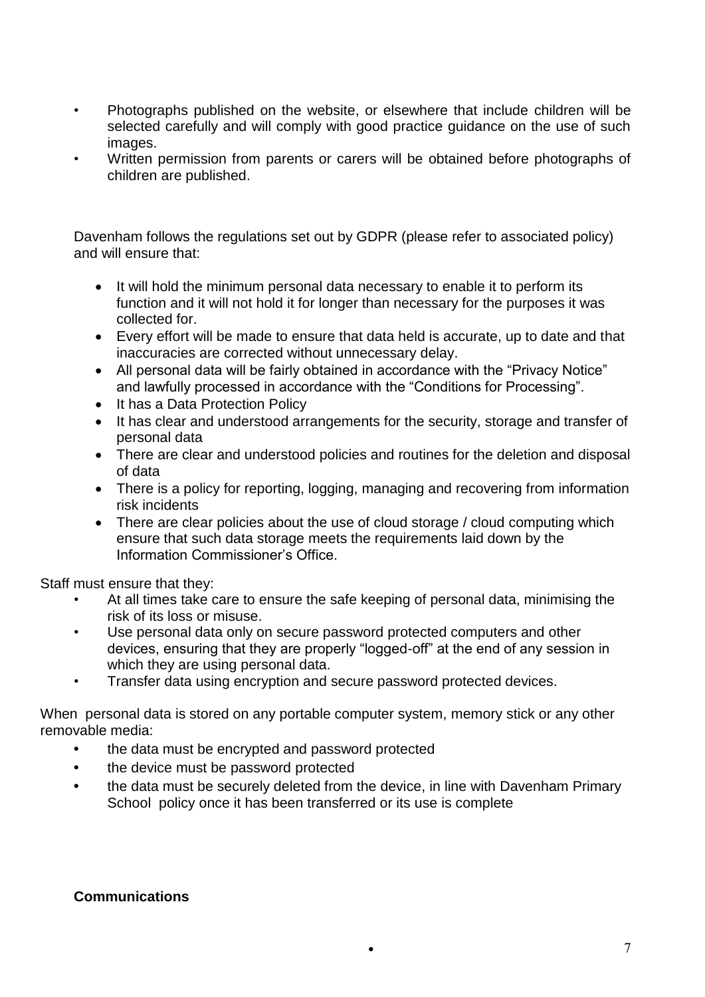- Photographs published on the website, or elsewhere that include children will be selected carefully and will comply with good practice guidance on the use of such images.
- Written permission from parents or carers will be obtained before photographs of children are published.

Davenham follows the regulations set out by GDPR (please refer to associated policy) and will ensure that:

- It will hold the minimum personal data necessary to enable it to perform its function and it will not hold it for longer than necessary for the purposes it was collected for.
- Every effort will be made to ensure that data held is accurate, up to date and that inaccuracies are corrected without unnecessary delay.
- All personal data will be fairly obtained in accordance with the "Privacy Notice" and lawfully processed in accordance with the "Conditions for Processing".
- It has a Data Protection Policy
- It has clear and understood arrangements for the security, storage and transfer of personal data
- There are clear and understood policies and routines for the deletion and disposal of data
- There is a policy for reporting, logging, managing and recovering from information risk incidents
- There are clear policies about the use of cloud storage / cloud computing which ensure that such data storage meets the requirements laid down by the Information Commissioner's Office.

Staff must ensure that they:

- At all times take care to ensure the safe keeping of personal data, minimising the risk of its loss or misuse.
- Use personal data only on secure password protected computers and other devices, ensuring that they are properly "logged-off" at the end of any session in which they are using personal data.
- Transfer data using encryption and secure password protected devices.

When personal data is stored on any portable computer system, memory stick or any other removable media:

- **•** the data must be encrypted and password protected
- **•** the device must be password protected
- **•** the data must be securely deleted from the device, in line with Davenham Primary School policy once it has been transferred or its use is complete

### **Communications**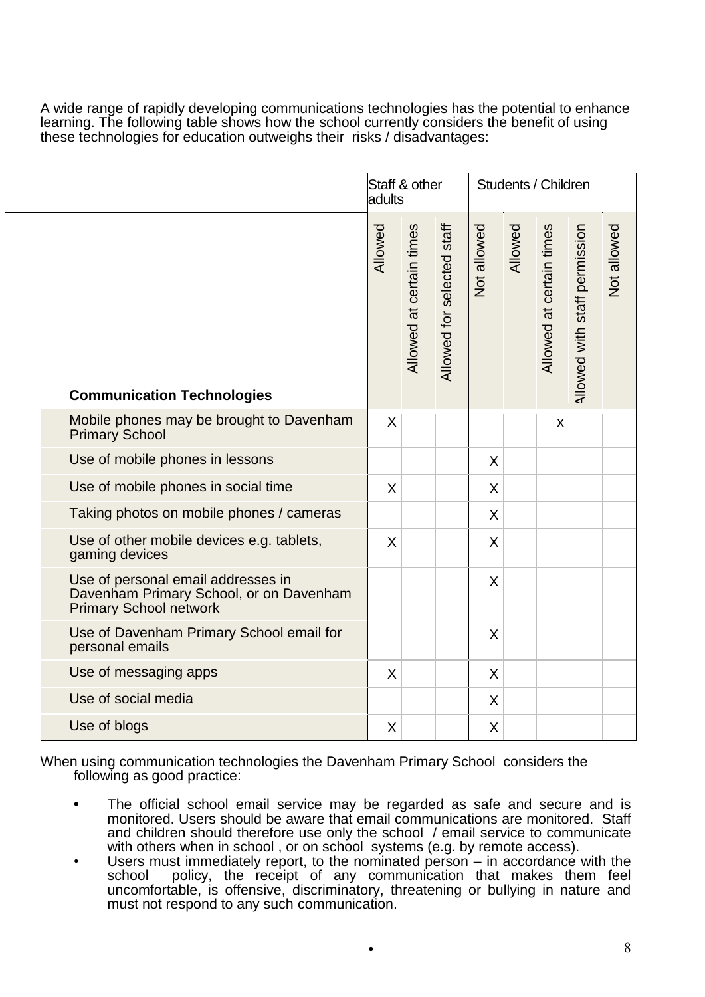A wide range of rapidly developing communications technologies has the potential to enhance learning. The following table shows how the school currently considers the benefit of using these technologies for education outweighs their risks / disadvantages:

|                                                                                                                | Staff & other<br>adults |                          | Students / Children        |             |         |                          |                               |             |
|----------------------------------------------------------------------------------------------------------------|-------------------------|--------------------------|----------------------------|-------------|---------|--------------------------|-------------------------------|-------------|
| <b>Communication Technologies</b>                                                                              | Allowed                 | Allowed at certain times | Allowed for selected staff | Not allowed | Allowed | Allowed at certain times | Allowed with staff permission | Not allowed |
| Mobile phones may be brought to Davenham<br><b>Primary School</b>                                              | X                       |                          |                            |             |         | X                        |                               |             |
| Use of mobile phones in lessons                                                                                |                         |                          |                            | X           |         |                          |                               |             |
| Use of mobile phones in social time                                                                            | X                       |                          |                            | $\sf X$     |         |                          |                               |             |
| Taking photos on mobile phones / cameras                                                                       |                         |                          |                            | X           |         |                          |                               |             |
| Use of other mobile devices e.g. tablets,<br>gaming devices                                                    | X                       |                          |                            | X           |         |                          |                               |             |
| Use of personal email addresses in<br>Davenham Primary School, or on Davenham<br><b>Primary School network</b> |                         |                          |                            | X           |         |                          |                               |             |
| Use of Davenham Primary School email for<br>personal emails                                                    |                         |                          |                            | X           |         |                          |                               |             |
| Use of messaging apps                                                                                          | X                       |                          |                            | X           |         |                          |                               |             |
| Use of social media                                                                                            |                         |                          |                            | X           |         |                          |                               |             |
| Use of blogs                                                                                                   | Χ                       |                          |                            | X           |         |                          |                               |             |

When using communication technologies the Davenham Primary School considers the following as good practice:

- **•** The official school email service may be regarded as safe and secure and is monitored. Users should be aware that email communications are monitored. Staff and children should therefore use only the school / email service to communicate with others when in school , or on school systems (e.g. by remote access).
- Users must immediately report, to the nominated person in accordance with the school policy, the receipt of any communication that makes them feel uncomfortable, is offensive, discriminatory, threatening or bullying in nature and must not respond to any such communication.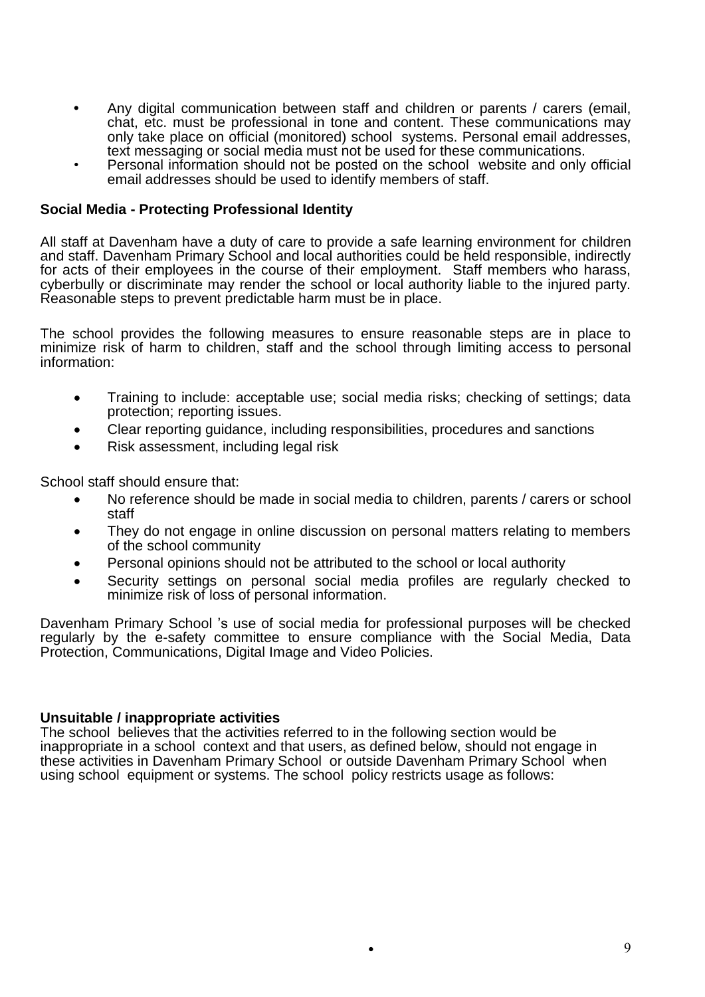- **•** Any digital communication between staff and children or parents / carers (email, chat, etc. must be professional in tone and content. These communications may only take place on official (monitored) school systems. Personal email addresses, text messaging or social media must not be used for these communications.
- Personal information should not be posted on the school website and only official email addresses should be used to identify members of staff.

### **Social Media - Protecting Professional Identity**

All staff at Davenham have a duty of care to provide a safe learning environment for children and staff. Davenham Primary School and local authorities could be held responsible, indirectly for acts of their employees in the course of their employment. Staff members who harass, cyberbully or discriminate may render the school or local authority liable to the injured party. Reasonable steps to prevent predictable harm must be in place.

The school provides the following measures to ensure reasonable steps are in place to minimize risk of harm to children, staff and the school through limiting access to personal information:

- Training to include: acceptable use; social media risks; checking of settings; data protection; reporting issues.
- Clear reporting guidance, including responsibilities, procedures and sanctions
- Risk assessment, including legal risk

School staff should ensure that:

- No reference should be made in social media to children, parents / carers or school staff
- They do not engage in online discussion on personal matters relating to members of the school community
- Personal opinions should not be attributed to the school or local authority
- Security settings on personal social media profiles are regularly checked to minimize risk of loss of personal information.

Davenham Primary School 's use of social media for professional purposes will be checked regularly by the e-safety committee to ensure compliance with the Social Media, Data Protection, Communications, Digital Image and Video Policies.

#### **Unsuitable / inappropriate activities**

The school believes that the activities referred to in the following section would be inappropriate in a school context and that users, as defined below, should not engage in these activities in Davenham Primary School or outside Davenham Primary School when using school equipment or systems. The school policy restricts usage as follows: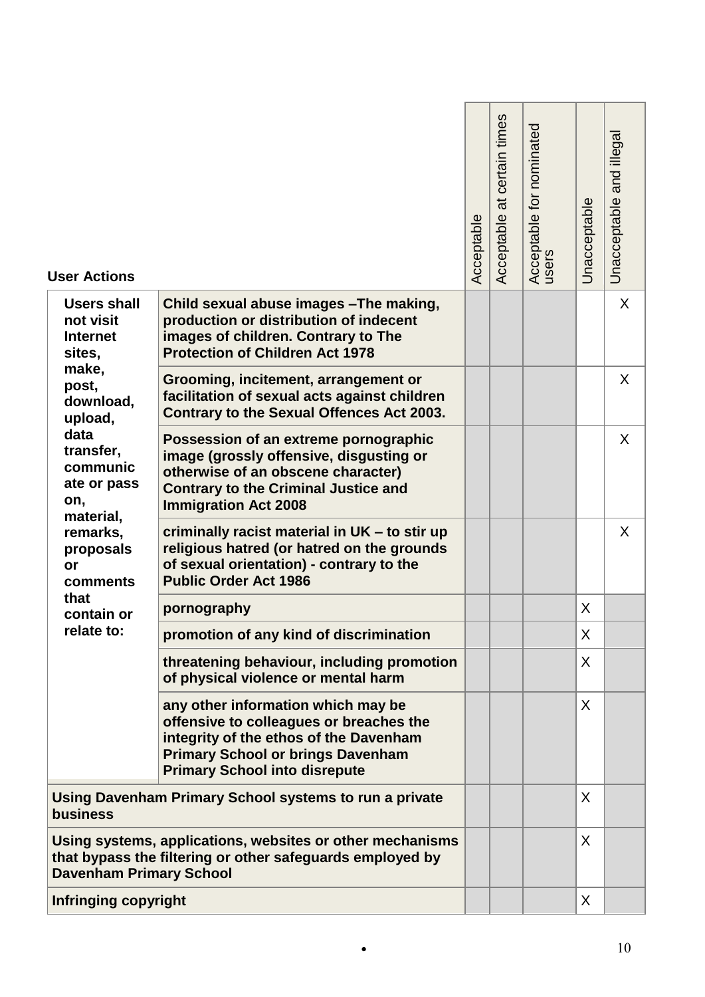| <b>User Actions</b>                                          |                                                                                                                                                                                                             | Acceptable | certain times<br>$\overline{a}$<br>Acceptable | Acceptable for nominated<br>users | Unacceptable | Unacceptable and illegal |
|--------------------------------------------------------------|-------------------------------------------------------------------------------------------------------------------------------------------------------------------------------------------------------------|------------|-----------------------------------------------|-----------------------------------|--------------|--------------------------|
| <b>Users shall</b><br>not visit<br><b>Internet</b><br>sites, | Child sexual abuse images - The making,<br>production or distribution of indecent<br>images of children. Contrary to The<br><b>Protection of Children Act 1978</b>                                          |            |                                               |                                   |              | X                        |
| make,<br>post,<br>download,<br>upload,                       | Grooming, incitement, arrangement or<br>facilitation of sexual acts against children<br><b>Contrary to the Sexual Offences Act 2003.</b>                                                                    |            |                                               |                                   |              | X                        |
| data<br>transfer,<br>communic<br>ate or pass<br>on,          | Possession of an extreme pornographic<br>image (grossly offensive, disgusting or<br>otherwise of an obscene character)<br><b>Contrary to the Criminal Justice and</b><br><b>Immigration Act 2008</b>        |            |                                               |                                   |              | X                        |
| material,<br>remarks,<br>proposals<br>or<br>comments         | criminally racist material in UK - to stir up<br>religious hatred (or hatred on the grounds<br>of sexual orientation) - contrary to the<br><b>Public Order Act 1986</b>                                     |            |                                               |                                   |              | X                        |
| that<br>contain or                                           | pornography                                                                                                                                                                                                 |            |                                               |                                   | X            |                          |
| relate to:                                                   | promotion of any kind of discrimination                                                                                                                                                                     |            |                                               |                                   | X            |                          |
|                                                              | threatening behaviour, including promotion<br>of physical violence or mental harm                                                                                                                           |            |                                               |                                   | X            |                          |
|                                                              | any other information which may be<br>offensive to colleagues or breaches the<br>integrity of the ethos of the Davenham<br><b>Primary School or brings Davenham</b><br><b>Primary School into disrepute</b> |            |                                               |                                   | X            |                          |
| <b>business</b>                                              | Using Davenham Primary School systems to run a private                                                                                                                                                      |            |                                               |                                   | X            |                          |
| <b>Davenham Primary School</b>                               | Using systems, applications, websites or other mechanisms<br>that bypass the filtering or other safeguards employed by                                                                                      |            |                                               |                                   | X            |                          |
| <b>Infringing copyright</b>                                  |                                                                                                                                                                                                             |            |                                               |                                   | $\sf X$      |                          |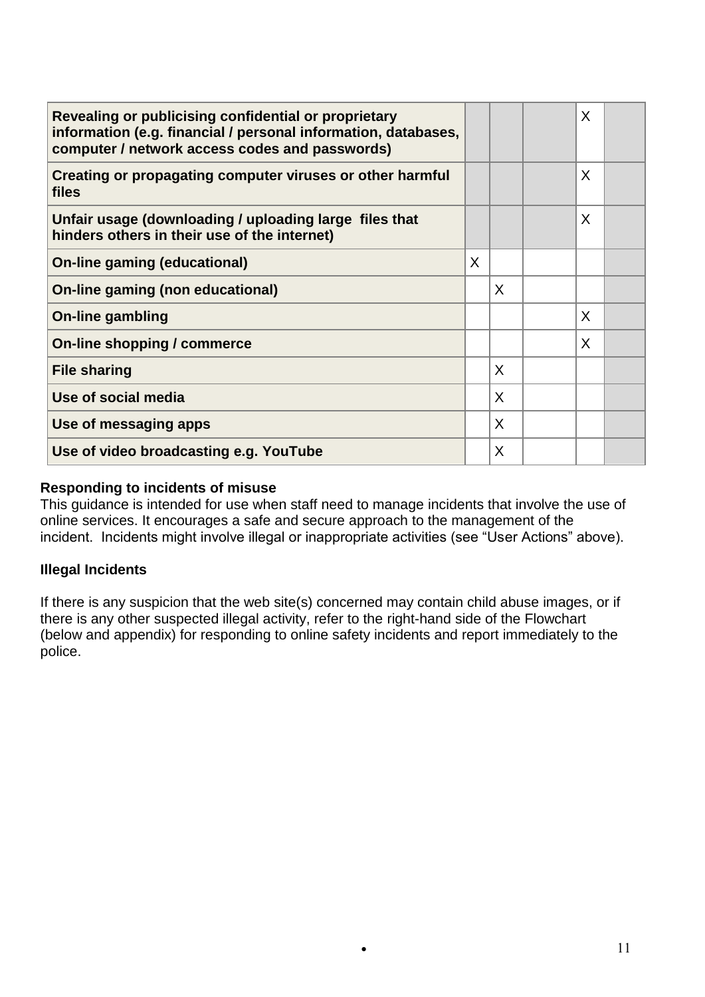| Revealing or publicising confidential or proprietary<br>information (e.g. financial / personal information, databases,<br>computer / network access codes and passwords) |              |   | X |  |
|--------------------------------------------------------------------------------------------------------------------------------------------------------------------------|--------------|---|---|--|
| Creating or propagating computer viruses or other harmful<br>files                                                                                                       |              |   | X |  |
| Unfair usage (downloading / uploading large files that<br>hinders others in their use of the internet)                                                                   |              |   | X |  |
| <b>On-line gaming (educational)</b>                                                                                                                                      | $\mathsf{X}$ |   |   |  |
| On-line gaming (non educational)                                                                                                                                         |              | X |   |  |
| <b>On-line gambling</b>                                                                                                                                                  |              |   | X |  |
| On-line shopping / commerce                                                                                                                                              |              |   | X |  |
| <b>File sharing</b>                                                                                                                                                      |              | X |   |  |
| Use of social media                                                                                                                                                      |              | X |   |  |
| Use of messaging apps                                                                                                                                                    |              | X |   |  |
| Use of video broadcasting e.g. YouTube                                                                                                                                   |              | X |   |  |

# **Responding to incidents of misuse**

This guidance is intended for use when staff need to manage incidents that involve the use of online services. It encourages a safe and secure approach to the management of the incident. Incidents might involve illegal or inappropriate activities (see "User Actions" above).

# **Illegal Incidents**

If there is any suspicion that the web site(s) concerned may contain child abuse images, or if there is any other suspected illegal activity, refer to the right-hand side of the Flowchart (below and appendix) for responding to online safety incidents and report immediately to the police.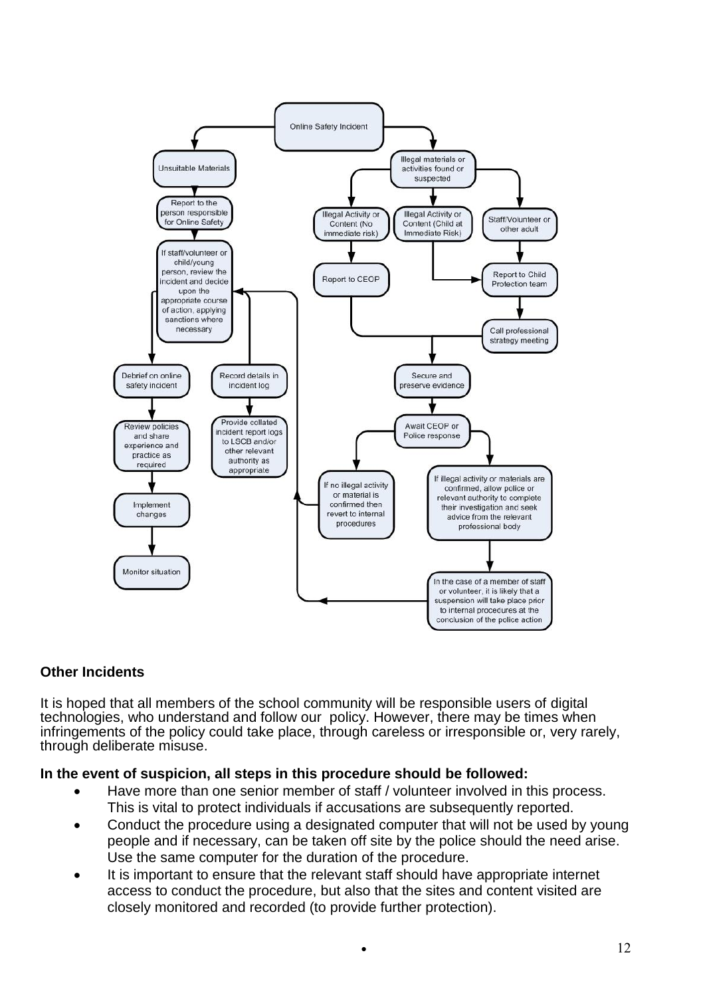

# **Other Incidents**

It is hoped that all members of the school community will be responsible users of digital technologies, who understand and follow our policy. However, there may be times when infringements of the policy could take place, through careless or irresponsible or, very rarely, through deliberate misuse.

# **In the event of suspicion, all steps in this procedure should be followed:**

- Have more than one senior member of staff / volunteer involved in this process. This is vital to protect individuals if accusations are subsequently reported.
- Conduct the procedure using a designated computer that will not be used by young people and if necessary, can be taken off site by the police should the need arise. Use the same computer for the duration of the procedure.
- It is important to ensure that the relevant staff should have appropriate internet access to conduct the procedure, but also that the sites and content visited are closely monitored and recorded (to provide further protection).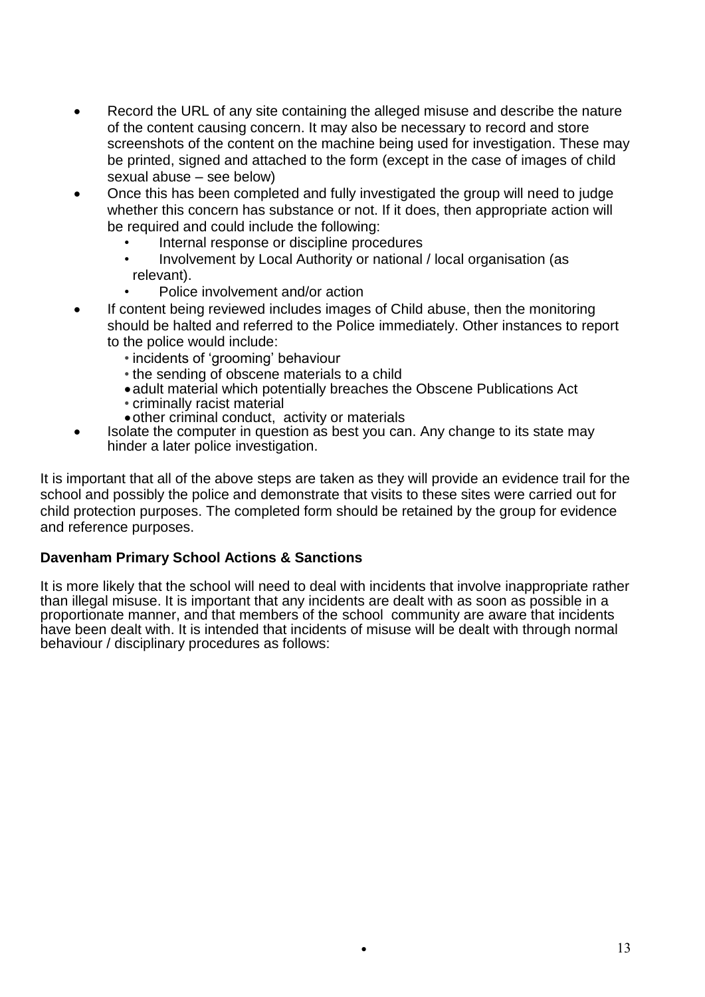- Record the URL of any site containing the alleged misuse and describe the nature of the content causing concern. It may also be necessary to record and store screenshots of the content on the machine being used for investigation. These may be printed, signed and attached to the form (except in the case of images of child sexual abuse – see below)
- Once this has been completed and fully investigated the group will need to judge whether this concern has substance or not. If it does, then appropriate action will be required and could include the following:
	- Internal response or discipline procedures
	- Involvement by Local Authority or national / local organisation (as relevant).
	- Police involvement and/or action
- If content being reviewed includes images of Child abuse, then the monitoring should be halted and referred to the Police immediately. Other instances to report to the police would include:
	- *•* incidents of 'grooming' behaviour
	- *•* the sending of obscene materials to a child
	- adult material which potentially breaches the Obscene Publications Act
	- *•* criminally racist material
	- other criminal conduct, activity or materials
- Isolate the computer in question as best you can. Any change to its state may hinder a later police investigation.

It is important that all of the above steps are taken as they will provide an evidence trail for the school and possibly the police and demonstrate that visits to these sites were carried out for child protection purposes. The completed form should be retained by the group for evidence and reference purposes.

### **Davenham Primary School Actions & Sanctions**

It is more likely that the school will need to deal with incidents that involve inappropriate rather than illegal misuse. It is important that any incidents are dealt with as soon as possible in a proportionate manner, and that members of the school community are aware that incidents have been dealt with. It is intended that incidents of misuse will be dealt with through normal behaviour / disciplinary procedures as follows: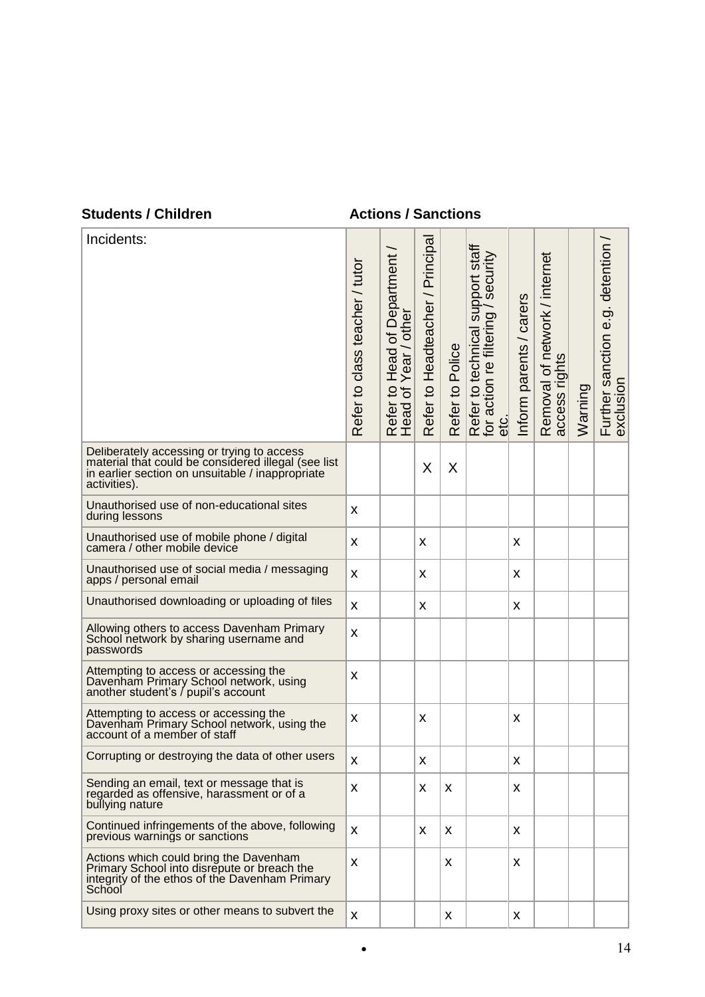## **Students / Children Actions / Sanctions**

L.

| Incidents:                                                                                                                                                            | Refer to class teacher / tutor | <b>Head of Department</b><br>Year / other<br>Refer to I | Refer to Headteacher / Principal | Refer to Police | Refer to technical support staff<br>for action re filtering / security<br>etc. | Inform parents / carers | Removal of network / internet<br>access rights | Warning | Further sanction e.g. detention /<br>exclusion |
|-----------------------------------------------------------------------------------------------------------------------------------------------------------------------|--------------------------------|---------------------------------------------------------|----------------------------------|-----------------|--------------------------------------------------------------------------------|-------------------------|------------------------------------------------|---------|------------------------------------------------|
| Deliberately accessing or trying to access<br>material that could be considered illegal (see list<br>in earlier section on unsuitable / inappropriate<br>activities). |                                |                                                         | X                                | X               |                                                                                |                         |                                                |         |                                                |
| Unauthorised use of non-educational sites<br>during lessons                                                                                                           | X                              |                                                         |                                  |                 |                                                                                |                         |                                                |         |                                                |
| Unauthorised use of mobile phone / digital<br>camera / other mobile device                                                                                            | X                              |                                                         | X                                |                 |                                                                                | X                       |                                                |         |                                                |
| Unauthorised use of social media / messaging<br>apps / personal email                                                                                                 | X                              |                                                         | X                                |                 |                                                                                | X                       |                                                |         |                                                |
| Unauthorised downloading or uploading of files                                                                                                                        | X                              |                                                         | X                                |                 |                                                                                | X                       |                                                |         |                                                |
| Allowing others to access Davenham Primary<br>School network by sharing username and<br>passwords                                                                     | X                              |                                                         |                                  |                 |                                                                                |                         |                                                |         |                                                |
| Attempting to access or accessing the<br>Davenham Primary School network, using<br>another student's / pupil's account                                                | X                              |                                                         |                                  |                 |                                                                                |                         |                                                |         |                                                |
| Attempting to access or accessing the<br>Davenham Primary School network, using the<br>account of a member of staff                                                   | X                              |                                                         | X                                |                 |                                                                                | X                       |                                                |         |                                                |
| Corrupting or destroying the data of other users                                                                                                                      | X                              |                                                         | Χ                                |                 |                                                                                | X                       |                                                |         |                                                |
| Sending an email, text or message that is<br>regarded as offensive, harassment or of a<br>bullying nature                                                             | X                              |                                                         | X                                | X               |                                                                                | X                       |                                                |         |                                                |
| Continued infringements of the above, following<br>previous warnings or sanctions                                                                                     | X                              |                                                         | X                                | X               |                                                                                | X                       |                                                |         |                                                |
| Actions which could bring the Davenham<br>Primary School into disrepute or breach the<br>integrity of the ethos of the Davenham Primary<br>School                     | X                              |                                                         |                                  | X               |                                                                                | X                       |                                                |         |                                                |
| Using proxy sites or other means to subvert the                                                                                                                       | X                              |                                                         |                                  | X               |                                                                                | X                       |                                                |         |                                                |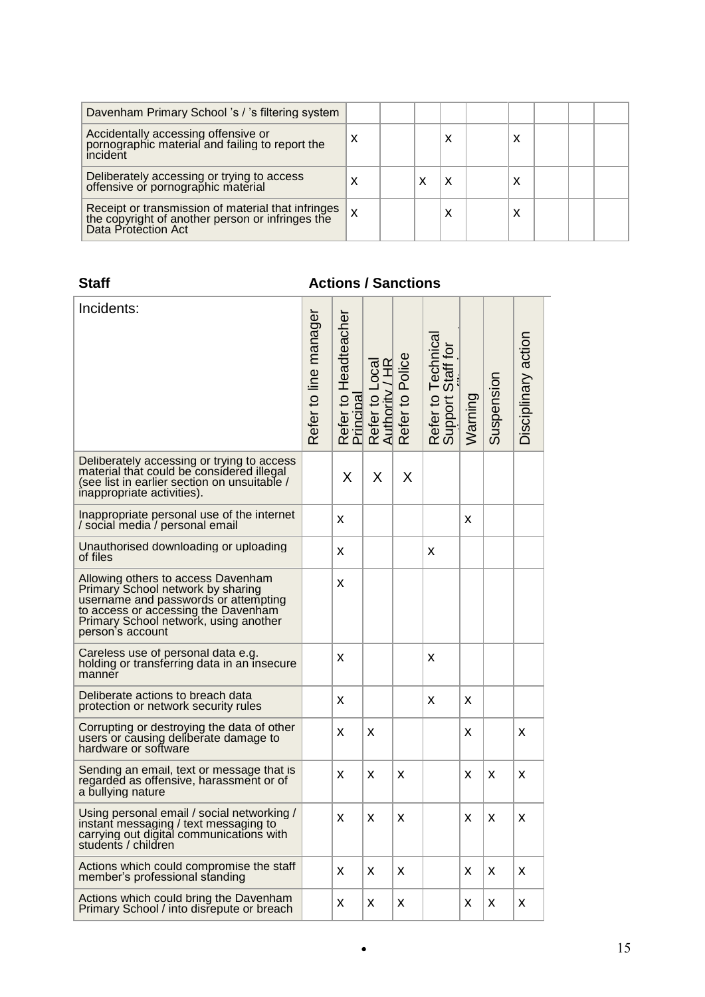| Davenham Primary School 's / 's filtering system                                                                              |   |  |   |        |  |  |
|-------------------------------------------------------------------------------------------------------------------------------|---|--|---|--------|--|--|
| Accidentally accessing offensive or<br>pornographic material and failing to report the<br>incident                            | x |  | х | x      |  |  |
| Deliberately accessing or trying to access<br>offensive or pornographic material                                              |   |  | х | x      |  |  |
| Receipt or transmission of material that infringes<br>the copyright of another person or infringes the<br>Data Protection Act | X |  | х | v<br>л |  |  |

# **Staff Actions / Sanctions**

| Incidents:                                                                                                                                                                                                          | Refer to line manager | Refer to Headteacher<br>Principal | Refer to Local<br>Authority / HR | Refer to Police | Refer to Technical<br>Support Staff for | Warning | Suspension | Disciplinary action |
|---------------------------------------------------------------------------------------------------------------------------------------------------------------------------------------------------------------------|-----------------------|-----------------------------------|----------------------------------|-----------------|-----------------------------------------|---------|------------|---------------------|
| Deliberately accessing or trying to access<br>material that could be considered illegal<br>(see list in earlier section on unsuitable /<br>inappropriate activities).                                               |                       | X                                 | Χ                                | X               |                                         |         |            |                     |
| Inappropriate personal use of the internet<br>/ social media / personal email                                                                                                                                       |                       | X                                 |                                  |                 |                                         | X       |            |                     |
| Unauthorised downloading or uploading<br>of files                                                                                                                                                                   |                       | X                                 |                                  |                 | X                                       |         |            |                     |
| Allowing others to access Davenham<br>Primary School network by sharing<br>username and passwords or attempting<br>to access or accessing the Davenham<br>Primary School network, using another<br>person's account |                       | X                                 |                                  |                 |                                         |         |            |                     |
| Careless use of personal data e.g.<br>holding or transferring data in an insecure<br>manner                                                                                                                         |                       | X                                 |                                  |                 | X                                       |         |            |                     |
| Deliberate actions to breach data<br>protection or network security rules                                                                                                                                           |                       | X                                 |                                  |                 | X                                       | X       |            |                     |
| Corrupting or destroying the data of other<br>users or causing deliberate damage to<br>hardware or software                                                                                                         |                       | X                                 | x                                |                 |                                         | X       |            | x                   |
| Sending an email, text or message that is<br>regarded as offensive, harassment or of<br>a bullying nature                                                                                                           |                       | X                                 | X                                | x               |                                         | X       | X          | x                   |
| Using personal email / social networking /<br>instant messaging / text messaging to<br>carrying out digital communications with<br>students / children                                                              |                       | X                                 | X                                | χ               |                                         | X       | X          | X                   |
| Actions which could compromise the staff<br>member's professional standing                                                                                                                                          |                       | X                                 | X                                | x               |                                         | X       | X          | X                   |
| Actions which could bring the Davenham<br>Primary School / into disrepute or breach                                                                                                                                 |                       | X                                 | X                                | X               |                                         | X       | X          | X                   |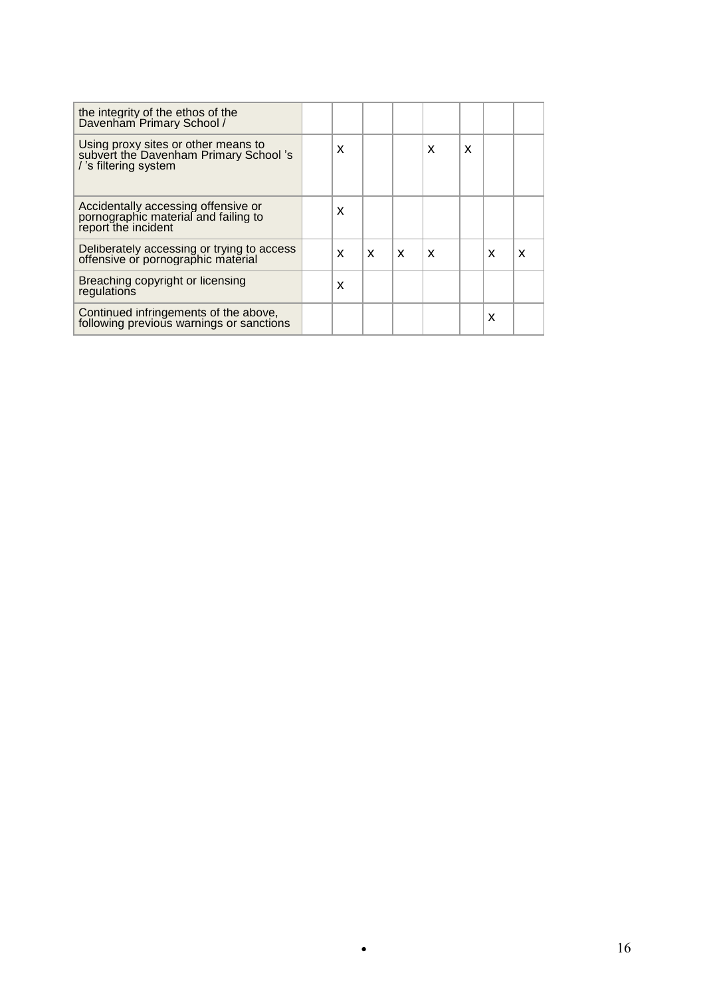| the integrity of the ethos of the<br>Davenham Primary School /                                       |   |   |   |   |   |   |   |
|------------------------------------------------------------------------------------------------------|---|---|---|---|---|---|---|
| Using proxy sites or other means to<br>subvert the Davenham Primary School's<br>/'s filtering system | X |   |   | X | X |   |   |
| Accidentally accessing offensive or<br>pornographic material and failing to<br>report the incident   | X |   |   |   |   |   |   |
| Deliberately accessing or trying to access<br>offensive or pornographic material                     | X | X | X | X |   | X | X |
| Breaching copyright or licensing<br>regulations                                                      | X |   |   |   |   |   |   |
| Continued infringements of the above,<br>following previous warnings or sanctions                    |   |   |   |   |   | x |   |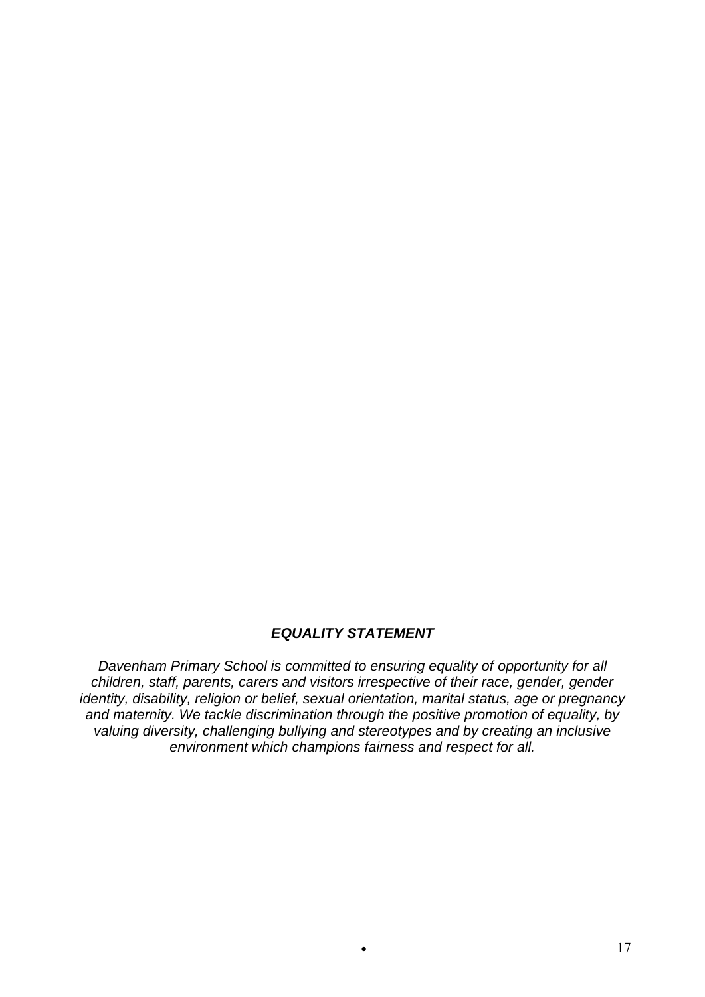# *EQUALITY STATEMENT*

*Davenham Primary School is committed to ensuring equality of opportunity for all children, staff, parents, carers and visitors irrespective of their race, gender, gender identity, disability, religion or belief, sexual orientation, marital status, age or pregnancy and maternity. We tackle discrimination through the positive promotion of equality, by valuing diversity, challenging bullying and stereotypes and by creating an inclusive environment which champions fairness and respect for all.*